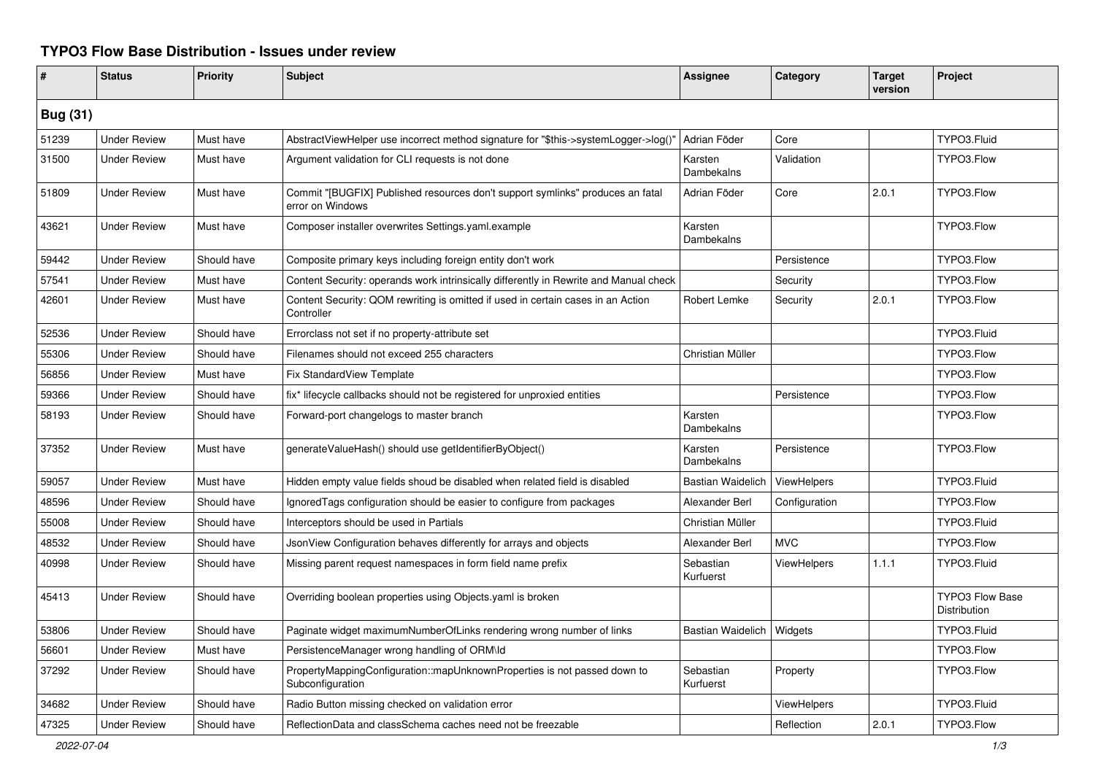## **TYPO3 Flow Base Distribution - Issues under review**

| #               | <b>Status</b>       | <b>Priority</b> | <b>Subject</b>                                                                                     | <b>Assignee</b>              | Category           | <b>Target</b><br>version | Project                         |  |
|-----------------|---------------------|-----------------|----------------------------------------------------------------------------------------------------|------------------------------|--------------------|--------------------------|---------------------------------|--|
| <b>Bug (31)</b> |                     |                 |                                                                                                    |                              |                    |                          |                                 |  |
| 51239           | <b>Under Review</b> | Must have       | AbstractViewHelper use incorrect method signature for "\$this->systemLogger->log()"                | Adrian Föder                 | Core               |                          | TYPO3.Fluid                     |  |
| 31500           | <b>Under Review</b> | Must have       | Argument validation for CLI requests is not done                                                   | Karsten<br>Dambekalns        | Validation         |                          | TYPO3.Flow                      |  |
| 51809           | <b>Under Review</b> | Must have       | Commit "[BUGFIX] Published resources don't support symlinks" produces an fatal<br>error on Windows | Adrian Föder                 | Core               | 2.0.1                    | TYPO3.Flow                      |  |
| 43621           | <b>Under Review</b> | Must have       | Composer installer overwrites Settings.yaml.example                                                | Karsten<br>Dambekalns        |                    |                          | TYPO3.Flow                      |  |
| 59442           | <b>Under Review</b> | Should have     | Composite primary keys including foreign entity don't work                                         |                              | Persistence        |                          | TYPO3.Flow                      |  |
| 57541           | <b>Under Review</b> | Must have       | Content Security: operands work intrinsically differently in Rewrite and Manual check              |                              | Security           |                          | TYPO3.Flow                      |  |
| 42601           | <b>Under Review</b> | Must have       | Content Security: QOM rewriting is omitted if used in certain cases in an Action<br>Controller     | Robert Lemke                 | Security           | 2.0.1                    | TYPO3.Flow                      |  |
| 52536           | <b>Under Review</b> | Should have     | Errorclass not set if no property-attribute set                                                    |                              |                    |                          | TYPO3.Fluid                     |  |
| 55306           | <b>Under Review</b> | Should have     | Filenames should not exceed 255 characters                                                         | Christian Müller             |                    |                          | TYPO3.Flow                      |  |
| 56856           | <b>Under Review</b> | Must have       | Fix StandardView Template                                                                          |                              |                    |                          | TYPO3.Flow                      |  |
| 59366           | <b>Under Review</b> | Should have     | fix* lifecycle callbacks should not be registered for unproxied entities                           |                              | Persistence        |                          | TYPO3.Flow                      |  |
| 58193           | <b>Under Review</b> | Should have     | Forward-port changelogs to master branch                                                           | Karsten<br>Dambekalns        |                    |                          | TYPO3.Flow                      |  |
| 37352           | <b>Under Review</b> | Must have       | generateValueHash() should use getIdentifierByObject()                                             | Karsten<br><b>Dambekalns</b> | Persistence        |                          | TYPO3.Flow                      |  |
| 59057           | <b>Under Review</b> | Must have       | Hidden empty value fields shoud be disabled when related field is disabled                         | Bastian Waidelich            | ViewHelpers        |                          | TYPO3.Fluid                     |  |
| 48596           | <b>Under Review</b> | Should have     | IgnoredTags configuration should be easier to configure from packages                              | Alexander Berl               | Configuration      |                          | TYPO3.Flow                      |  |
| 55008           | <b>Under Review</b> | Should have     | Interceptors should be used in Partials                                                            | Christian Müller             |                    |                          | TYPO3.Fluid                     |  |
| 48532           | <b>Under Review</b> | Should have     | JsonView Configuration behaves differently for arrays and objects                                  | Alexander Berl               | <b>MVC</b>         |                          | TYPO3.Flow                      |  |
| 40998           | <b>Under Review</b> | Should have     | Missing parent request namespaces in form field name prefix                                        | Sebastian<br>Kurfuerst       | <b>ViewHelpers</b> | 1.1.1                    | TYPO3.Fluid                     |  |
| 45413           | <b>Under Review</b> | Should have     | Overriding boolean properties using Objects yaml is broken                                         |                              |                    |                          | TYPO3 Flow Base<br>Distribution |  |
| 53806           | <b>Under Review</b> | Should have     | Paginate widget maximumNumberOfLinks rendering wrong number of links                               | Bastian Waidelich            | <b>Widgets</b>     |                          | TYPO3.Fluid                     |  |
| 56601           | <b>Under Review</b> | Must have       | PersistenceManager wrong handling of ORM\ld                                                        |                              |                    |                          | TYPO3.Flow                      |  |
| 37292           | <b>Under Review</b> | Should have     | PropertyMappingConfiguration::mapUnknownProperties is not passed down to<br>Subconfiguration       | Sebastian<br>Kurfuerst       | Property           |                          | TYPO3.Flow                      |  |
| 34682           | <b>Under Review</b> | Should have     | Radio Button missing checked on validation error                                                   |                              | <b>ViewHelpers</b> |                          | TYPO3.Fluid                     |  |
| 47325           | <b>Under Review</b> | Should have     | ReflectionData and classSchema caches need not be freezable                                        |                              | Reflection         | 2.0.1                    | TYPO3.Flow                      |  |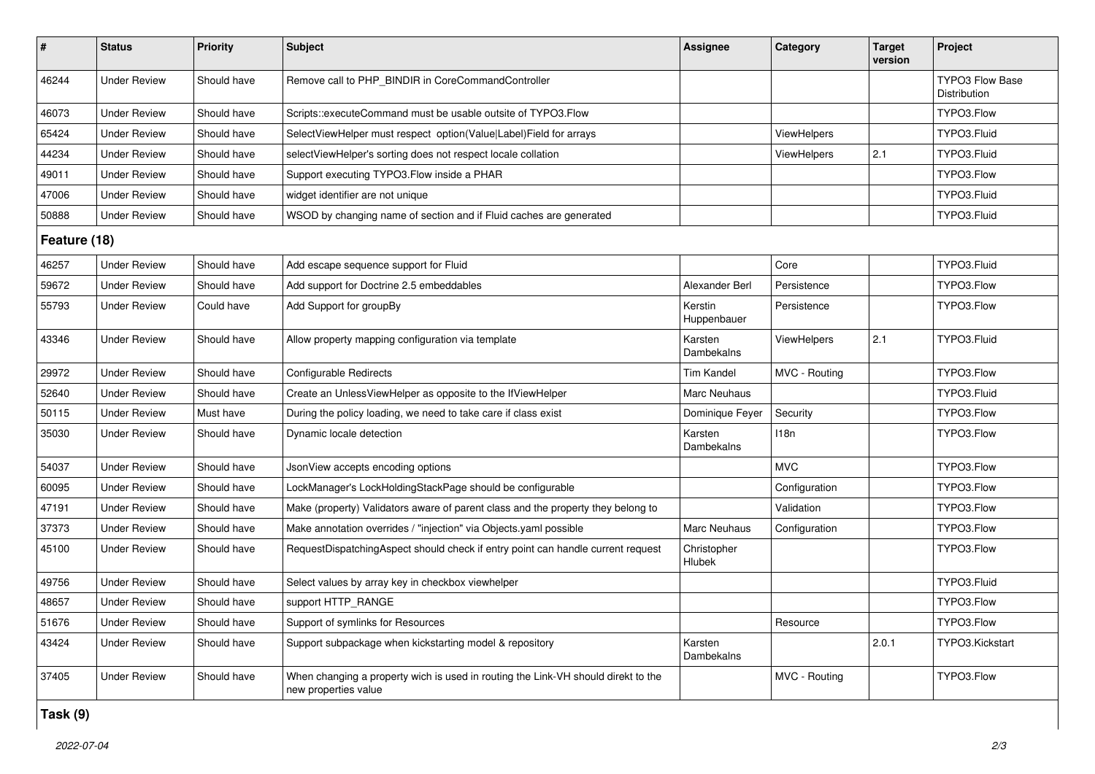| #            | <b>Status</b>       | <b>Priority</b> | <b>Subject</b>                                                                                            | <b>Assignee</b>        | Category      | <b>Target</b><br>version | Project                                |  |
|--------------|---------------------|-----------------|-----------------------------------------------------------------------------------------------------------|------------------------|---------------|--------------------------|----------------------------------------|--|
| 46244        | <b>Under Review</b> | Should have     | Remove call to PHP_BINDIR in CoreCommandController                                                        |                        |               |                          | <b>TYPO3 Flow Base</b><br>Distribution |  |
| 46073        | <b>Under Review</b> | Should have     | Scripts::executeCommand must be usable outsite of TYPO3.Flow                                              |                        |               |                          | TYPO3.Flow                             |  |
| 65424        | <b>Under Review</b> | Should have     | SelectViewHelper must respect option(Value Label)Field for arrays                                         |                        | ViewHelpers   |                          | TYPO3.Fluid                            |  |
| 44234        | <b>Under Review</b> | Should have     | selectViewHelper's sorting does not respect locale collation                                              |                        | ViewHelpers   | 2.1                      | TYPO3.Fluid                            |  |
| 49011        | <b>Under Review</b> | Should have     | Support executing TYPO3.Flow inside a PHAR                                                                |                        |               |                          | TYPO3.Flow                             |  |
| 47006        | <b>Under Review</b> | Should have     | widget identifier are not unique                                                                          |                        |               |                          | TYPO3.Fluid                            |  |
| 50888        | <b>Under Review</b> | Should have     | WSOD by changing name of section and if Fluid caches are generated                                        |                        |               |                          | TYPO3.Fluid                            |  |
| Feature (18) |                     |                 |                                                                                                           |                        |               |                          |                                        |  |
| 46257        | <b>Under Review</b> | Should have     | Add escape sequence support for Fluid                                                                     |                        | Core          |                          | TYPO3.Fluid                            |  |
| 59672        | <b>Under Review</b> | Should have     | Add support for Doctrine 2.5 embeddables                                                                  | Alexander Berl         | Persistence   |                          | TYPO3.Flow                             |  |
| 55793        | <b>Under Review</b> | Could have      | Add Support for groupBy                                                                                   | Kerstin<br>Huppenbauer | Persistence   |                          | TYPO3.Flow                             |  |
| 43346        | <b>Under Review</b> | Should have     | Allow property mapping configuration via template                                                         | Karsten<br>Dambekalns  | ViewHelpers   | 2.1                      | TYPO3.Fluid                            |  |
| 29972        | <b>Under Review</b> | Should have     | <b>Configurable Redirects</b>                                                                             | <b>Tim Kandel</b>      | MVC - Routing |                          | TYPO3.Flow                             |  |
| 52640        | <b>Under Review</b> | Should have     | Create an UnlessViewHelper as opposite to the IfViewHelper                                                | Marc Neuhaus           |               |                          | TYPO3.Fluid                            |  |
| 50115        | <b>Under Review</b> | Must have       | During the policy loading, we need to take care if class exist                                            | Dominique Feyer        | Security      |                          | TYPO3.Flow                             |  |
| 35030        | <b>Under Review</b> | Should have     | Dynamic locale detection                                                                                  | Karsten<br>Dambekalns  | 118n          |                          | TYPO3.Flow                             |  |
| 54037        | <b>Under Review</b> | Should have     | JsonView accepts encoding options                                                                         |                        | <b>MVC</b>    |                          | TYPO3.Flow                             |  |
| 60095        | <b>Under Review</b> | Should have     | LockManager's LockHoldingStackPage should be configurable                                                 |                        | Configuration |                          | TYPO3.Flow                             |  |
| 47191        | <b>Under Review</b> | Should have     | Make (property) Validators aware of parent class and the property they belong to                          |                        | Validation    |                          | TYPO3.Flow                             |  |
| 37373        | <b>Under Review</b> | Should have     | Make annotation overrides / "injection" via Objects yaml possible                                         | Marc Neuhaus           | Configuration |                          | TYPO3.Flow                             |  |
| 45100        | <b>Under Review</b> | Should have     | RequestDispatchingAspect should check if entry point can handle current request                           | Christopher<br>Hlubek  |               |                          | TYPO3.Flow                             |  |
| 49756        | <b>Under Review</b> | Should have     | Select values by array key in checkbox viewhelper                                                         |                        |               |                          | TYPO3.Fluid                            |  |
| 48657        | <b>Under Review</b> | Should have     | support HTTP_RANGE                                                                                        |                        |               |                          | TYPO3.Flow                             |  |
| 51676        | <b>Under Review</b> | Should have     | Support of symlinks for Resources                                                                         |                        | Resource      |                          | TYPO3.Flow                             |  |
| 43424        | <b>Under Review</b> | Should have     | Support subpackage when kickstarting model & repository                                                   | Karsten<br>Dambekalns  |               | 2.0.1                    | TYPO3.Kickstart                        |  |
| 37405        | <b>Under Review</b> | Should have     | When changing a property wich is used in routing the Link-VH should direkt to the<br>new properties value |                        | MVC - Routing |                          | TYPO3.Flow                             |  |

## **Task (9)**